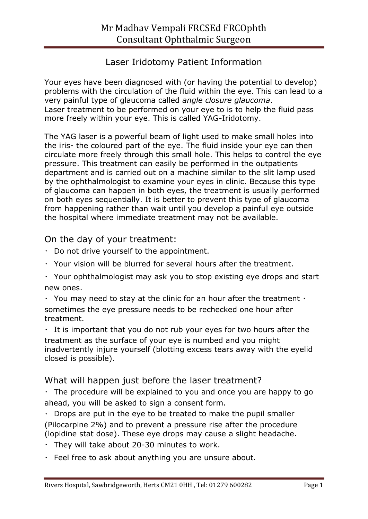# Laser Iridotomy Patient Information

Your eyes have been diagnosed with (or having the potential to develop) problems with the circulation of the fluid within the eye. This can lead to a very painful type of glaucoma called *angle closure glaucoma*. Laser treatment to be performed on your eye to is to help the fluid pass more freely within your eye. This is called YAG-Iridotomy.

The YAG laser is a powerful beam of light used to make small holes into the iris- the coloured part of the eye. The fluid inside your eye can then circulate more freely through this small hole. This helps to control the eye pressure. This treatment can easily be performed in the outpatients department and is carried out on a machine similar to the slit lamp used by the ophthalmologist to examine your eyes in clinic. Because this type of glaucoma can happen in both eyes, the treatment is usually performed on both eyes sequentially. It is better to prevent this type of glaucoma from happening rather than wait until you develop a painful eye outside the hospital where immediate treatment may not be available.

## On the day of your treatment:

- Do not drive yourself to the appointment.
- Your vision will be blurred for several hours after the treatment.
- Your ophthalmologist may ask you to stop existing eye drops and start new ones.
- $\cdot$  You may need to stay at the clinic for an hour after the treatment  $\cdot$ sometimes the eye pressure needs to be rechecked one hour after treatment.

 $\cdot$  It is important that you do not rub your eyes for two hours after the treatment as the surface of your eye is numbed and you might inadvertently injure yourself (blotting excess tears away with the eyelid closed is possible).

## What will happen just before the laser treatment?

 $\cdot$  The procedure will be explained to you and once you are happy to go ahead, you will be asked to sign a consent form.

 $\cdot$  Drops are put in the eye to be treated to make the pupil smaller (Pilocarpine 2%) and to prevent a pressure rise after the procedure (lopidine stat dose). These eye drops may cause a slight headache.

- $\cdot$  They will take about 20-30 minutes to work.
- $\cdot$  Feel free to ask about anything you are unsure about.